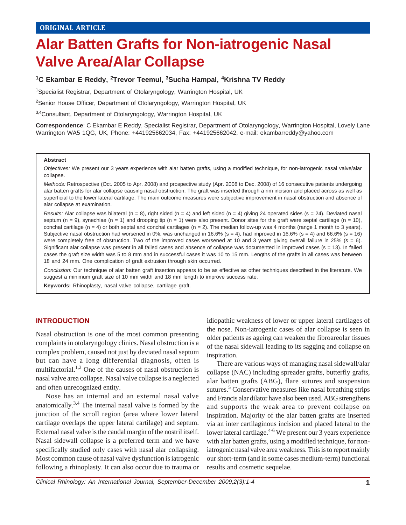# **Alar Batten Grafts for Non-iatrogenic Nasal Valve Area/Alar Collapse**

# **1C Ekambar E Reddy, 2Trevor Teemul, 3Sucha Hampal, 4Krishna TV Reddy**

<sup>1</sup>Specialist Registrar, Department of Otolaryngology, Warrington Hospital, UK

<sup>2</sup>Senior House Officer, Department of Otolaryngology, Warrington Hospital, UK

3,4Consultant, Department of Otolaryngology, Warrington Hospital, UK

**Correspondence**: C Ekambar E Reddy, Specialist Registrar, Department of Otolaryngology, Warrington Hospital, Lovely Lane Warrington WA5 1QG, UK, Phone: +441925662034, Fax: +441925662042, e-mail: ekambarreddy@yahoo.com

#### **Abstract**

*Objectives:* We present our 3 years experience with alar batten grafts, using a modified technique, for non-iatrogenic nasal valve/alar collapse.

*Methods:* Retrospective (Oct. 2005 to Apr. 2008) and prospective study (Apr. 2008 to Dec. 2008) of 16 consecutive patients undergoing alar batten grafts for alar collapse causing nasal obstruction. The graft was inserted through a rim incision and placed across as well as superficial to the lower lateral cartilage. The main outcome measures were subjective improvement in nasal obstruction and absence of alar collapse at examination.

*Results:* Alar collapse was bilateral ( $n = 8$ ), right sided ( $n = 4$ ) and left sided ( $n = 4$ ) giving 24 operated sides ( $s = 24$ ). Deviated nasal septum (n = 9), synechiae (n = 1) and drooping tip (n = 1) were also present. Donor sites for the graft were septal cartilage (n = 10), conchal cartilage ( $n = 4$ ) or both septal and conchal cartilages ( $n = 2$ ). The median follow-up was 4 months (range 1 month to 3 years). Subjective nasal obstruction had worsened in 0%, was unchanged in 16.6% (s = 4), had improved in 16.6% (s = 4) and 66.6% (s = 16) were completely free of obstruction. Two of the improved cases worsened at 10 and 3 years giving overall failure in 25% (s = 6). Significant alar collapse was present in all failed cases and absence of collapse was documented in improved cases (s = 13). In failed cases the graft size width was 5 to 8 mm and in successful cases it was 10 to 15 mm. Lengths of the grafts in all cases was between 18 and 24 mm. One complication of graft extrusion through skin occurred.

*Conclusion:* Our technique of alar batten graft insertion appears to be as effective as other techniques described in the literature. We suggest a minimum graft size of 10 mm width and 18 mm length to improve success rate.

**Keywords:** Rhinoplasty, nasal valve collapse, cartilage graft.

# **INTRODUCTION**

Nasal obstruction is one of the most common presenting complaints in otolaryngology clinics. Nasal obstruction is a complex problem, caused not just by deviated nasal septum but can have a long differential diagnosis, often is multifactorial.<sup>1,2</sup> One of the causes of nasal obstruction is nasal valve area collapse. Nasal valve collapse is a neglected and often unrecognized entity.

Nose has an internal and an external nasal valve anatomically.3,4 The internal nasal valve is formed by the junction of the scroll region (area where lower lateral cartilage overlaps the upper lateral cartilage) and septum. External nasal valve is the caudal margin of the nostril itself. Nasal sidewall collapse is a preferred term and we have specifically studied only cases with nasal alar collapsing. Most common cause of nasal valve dysfunction is iatrogenic following a rhinoplasty. It can also occur due to trauma or

idiopathic weakness of lower or upper lateral cartilages of the nose. Non-iatrogenic cases of alar collapse is seen in older patients as ageing can weaken the fibroareolar tissues of the nasal sidewall leading to its sagging and collapse on inspiration.

There are various ways of managing nasal sidewall/alar collapse (NAC) including spreader grafts, butterfly grafts, alar batten grafts (ABG), flare sutures and suspension sutures.<sup>5</sup> Conservative measures like nasal breathing strips and Francis alar dilator have also been used. ABG strengthens and supports the weak area to prevent collapse on inspiration. Majority of the alar batten grafts are inserted via an inter cartilaginous incision and placed lateral to the lower lateral cartilage.<sup>4-6</sup> We present our 3 years experience with alar batten grafts, using a modified technique, for noniatrogenic nasal valve area weakness. This is to report mainly our short-term (and in some cases medium-term) functional results and cosmetic sequelae.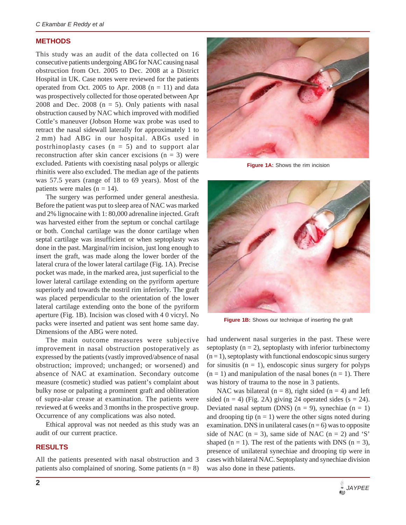#### **METHODS**

This study was an audit of the data collected on 16 consecutive patients undergoing ABG for NAC causing nasal obstruction from Oct. 2005 to Dec. 2008 at a District Hospital in UK. Case notes were reviewed for the patients operated from Oct. 2005 to Apr. 2008  $(n = 11)$  and data was prospectively collected for those operated between Apr 2008 and Dec. 2008 ( $n = 5$ ). Only patients with nasal obstruction caused by NAC which improved with modified Cottle's maneuver (Jobson Horne wax probe was used to retract the nasal sidewall laterally for approximately 1 to 2 mm) had ABG in our hospital. ABGs used in postrhinoplasty cases  $(n = 5)$  and to support alar reconstruction after skin cancer excisions  $(n = 3)$  were excluded. Patients with coexisting nasal polyps or allergic rhinitis were also excluded. The median age of the patients was 57.5 years (range of 18 to 69 years). Most of the patients were males  $(n = 14)$ .

The surgery was performed under general anesthesia. Before the patient was put to sleep area of NAC was marked and 2% lignocaine with 1: 80,000 adrenaline injected. Graft was harvested either from the septum or conchal cartilage or both. Conchal cartilage was the donor cartilage when septal cartilage was insufficient or when septoplasty was done in the past. Marginal/rim incision, just long enough to insert the graft, was made along the lower border of the lateral crura of the lower lateral cartilage (Fig. 1A). Precise pocket was made, in the marked area, just superficial to the lower lateral cartilage extending on the pyriform aperture superiorly and towards the nostril rim inferiorly. The graft was placed perpendicular to the orientation of the lower lateral cartilage extending onto the bone of the pyriform aperture (Fig. 1B). Incision was closed with 4 0 vicryl. No packs were inserted and patient was sent home same day. Dimensions of the ABG were noted.

The main outcome measures were subjective improvement in nasal obstruction postoperatively as expressed by the patients (vastly improved/absence of nasal obstruction; improved; unchanged; or worsened) and absence of NAC at examination. Secondary outcome measure (cosmetic) studied was patient's complaint about bulky nose or palpating a prominent graft and obliteration of supra-alar crease at examination. The patients were reviewed at 6 weeks and 3 months in the prospective group. Occurrence of any complications was also noted.

Ethical approval was not needed as this study was an audit of our current practice.

# **RESULTS**

All the patients presented with nasal obstruction and 3 patients also complained of snoring. Some patients  $(n = 8)$ 



**Figure 1A:** Shows the rim incision



Figure 1B: Shows our technique of inserting the graft

had underwent nasal surgeries in the past. These were septoplasty  $(n = 2)$ , septoplasty with inferior turbinectomy  $(n = 1)$ , septoplasty with functional endoscopic sinus surgery for sinusitis  $(n = 1)$ , endoscopic sinus surgery for polyps  $(n = 1)$  and manipulation of the nasal bones  $(n = 1)$ . There was history of trauma to the nose in 3 patients.

NAC was bilateral ( $n = 8$ ), right sided ( $n = 4$ ) and left sided (n = 4) (Fig. 2A) giving 24 operated sides (s = 24). Deviated nasal septum (DNS)  $(n = 9)$ , synechiae  $(n = 1)$ and drooping tip  $(n = 1)$  were the other signs noted during examination. DNS in unilateral cases  $(n = 6)$  was to opposite side of NAC ( $n = 3$ ), same side of NAC ( $n = 2$ ) and 'S' shaped ( $n = 1$ ). The rest of the patients with DNS ( $n = 3$ ), presence of unilateral synechiae and drooping tip were in cases with bilateral NAC. Septoplasty and synechiae division was also done in these patients.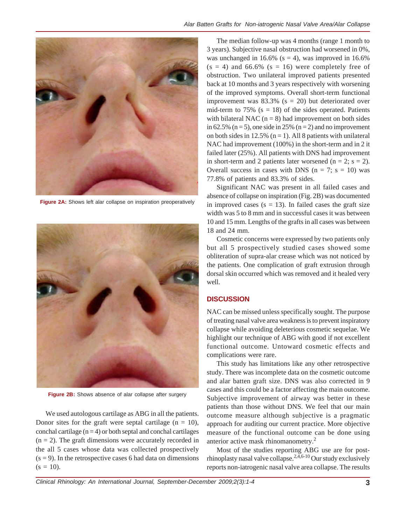

**Figure 2A:** Shows left alar collapse on inspiration preoperatively



**Figure 2B:** Shows absence of alar collapse after surgery

We used autologous cartilage as ABG in all the patients. Donor sites for the graft were septal cartilage  $(n = 10)$ , conchal cartilage  $(n = 4)$  or both septal and conchal cartilages  $(n = 2)$ . The graft dimensions were accurately recorded in the all 5 cases whose data was collected prospectively  $(s = 9)$ . In the retrospective cases 6 had data on dimensions  $(s = 10)$ .

The median follow-up was 4 months (range 1 month to 3 years). Subjective nasal obstruction had worsened in 0%, was unchanged in 16.6% ( $s = 4$ ), was improved in 16.6%  $(s = 4)$  and 66.6%  $(s = 16)$  were completely free of obstruction. Two unilateral improved patients presented back at 10 months and 3 years respectively with worsening of the improved symptoms. Overall short-term functional improvement was  $83.3\%$  (s = 20) but deteriorated over mid-term to 75% ( $s = 18$ ) of the sides operated. Patients with bilateral NAC ( $n = 8$ ) had improvement on both sides in 62.5% ( $n = 5$ ), one side in 25% ( $n = 2$ ) and no improvement on both sides in 12.5% ( $n = 1$ ). All 8 patients with unilateral NAC had improvement (100%) in the short-term and in 2 it failed later (25%). All patients with DNS had improvement in short-term and 2 patients later worsened ( $n = 2$ ;  $s = 2$ ). Overall success in cases with DNS ( $n = 7$ ;  $s = 10$ ) was 77.8% of patients and 83.3% of sides.

Significant NAC was present in all failed cases and absence of collapse on inspiration (Fig. 2B) was documented in improved cases ( $s = 13$ ). In failed cases the graft size width was 5 to 8 mm and in successful cases it was between 10 and 15 mm. Lengths of the grafts in all cases was between 18 and 24 mm.

Cosmetic concerns were expressed by two patients only but all 5 prospectively studied cases showed some obliteration of supra-alar crease which was not noticed by the patients. One complication of graft extrusion through dorsal skin occurred which was removed and it healed very well.

# **DISCUSSION**

NAC can be missed unless specifically sought. The purpose of treating nasal valve area weakness is to prevent inspiratory collapse while avoiding deleterious cosmetic sequelae. We highlight our technique of ABG with good if not excellent functional outcome. Untoward cosmetic effects and complications were rare.

This study has limitations like any other retrospective study. There was incomplete data on the cosmetic outcome and alar batten graft size. DNS was also corrected in 9 cases and this could be a factor affecting the main outcome. Subjective improvement of airway was better in these patients than those without DNS. We feel that our main outcome measure although subjective is a pragmatic approach for auditing our current practice. More objective measure of the functional outcome can be done using anterior active mask rhinomanometry.<sup>2</sup>

Most of the studies reporting ABG use are for postrhinoplasty nasal valve collapse.<sup>2,4,6-10</sup> Our study exclusively reports non-iatrogenic nasal valve area collapse. The results